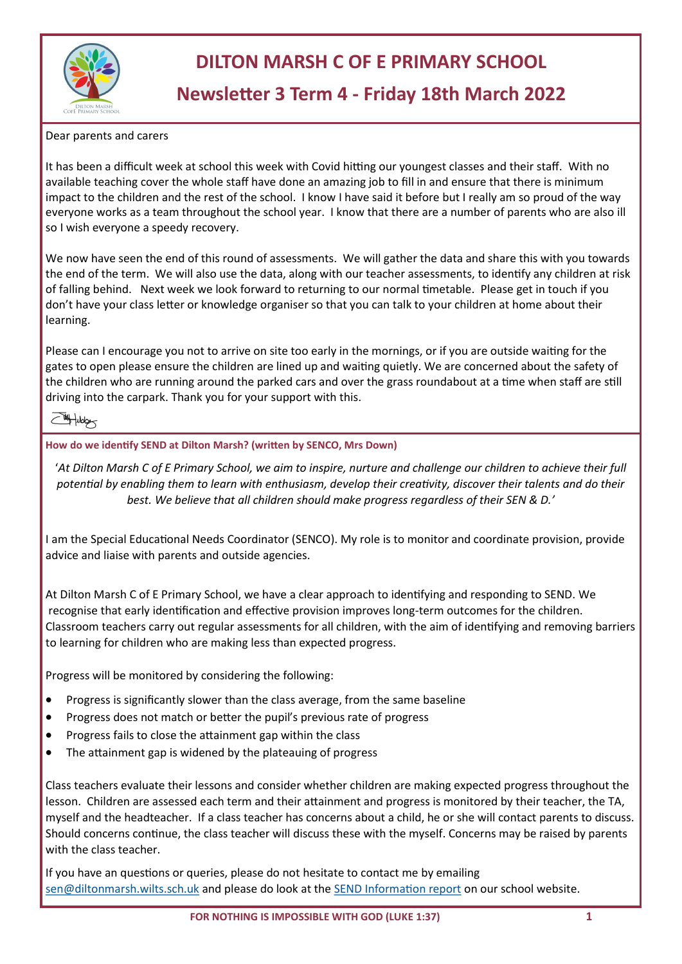

## **DILTON MARSH C OF E PRIMARY SCHOOL**

## **Newsletter 3 Term 4 - Friday 18th March 2022**

#### Dear parents and carers

It has been a difficult week at school this week with Covid hitting our youngest classes and their staff. With no available teaching cover the whole staff have done an amazing job to fill in and ensure that there is minimum impact to the children and the rest of the school. I know I have said it before but I really am so proud of the way everyone works as a team throughout the school year. I know that there are a number of parents who are also ill so I wish everyone a speedy recovery.

We now have seen the end of this round of assessments. We will gather the data and share this with you towards the end of the term. We will also use the data, along with our teacher assessments, to identify any children at risk of falling behind. Next week we look forward to returning to our normal timetable. Please get in touch if you don't have your class letter or knowledge organiser so that you can talk to your children at home about their learning.

Please can I encourage you not to arrive on site too early in the mornings, or if you are outside waiting for the gates to open please ensure the children are lined up and waiting quietly. We are concerned about the safety of the children who are running around the parked cars and over the grass roundabout at a time when staff are still driving into the carpark. Thank you for your support with this.

### Woby-

#### **How do we identify SEND at Dilton Marsh? (written by SENCO, Mrs Down)**

'*At Dilton Marsh C of E Primary School, we aim to inspire, nurture and challenge our children to achieve their full potential by enabling them to learn with enthusiasm, develop their creativity, discover their talents and do their best. We believe that all children should make progress regardless of their SEN & D.'*

I am the Special Educational Needs Coordinator (SENCO). My role is to monitor and coordinate provision, provide advice and liaise with parents and outside agencies.

At Dilton Marsh C of E Primary School, we have a clear approach to identifying and responding to SEND. We recognise that early identification and effective provision improves long-term outcomes for the children. Classroom teachers carry out regular assessments for all children, with the aim of identifying and removing barriers to learning for children who are making less than expected progress.

Progress will be monitored by considering the following:

- Progress is significantly slower than the class average, from the same baseline
- Progress does not match or better the pupil's previous rate of progress
- Progress fails to close the attainment gap within the class
- The attainment gap is widened by the plateauing of progress

Class teachers evaluate their lessons and consider whether children are making expected progress throughout the lesson. Children are assessed each term and their attainment and progress is monitored by their teacher, the TA, myself and the headteacher. If a class teacher has concerns about a child, he or she will contact parents to discuss. Should concerns continue, the class teacher will discuss these with the myself. Concerns may be raised by parents with the class teacher.

If you have an questions or queries, please do not hesitate to contact me by emailing [sen@diltonmarsh.wilts.sch.uk](mailto:sen@diltonmarsh.wilts.sch.uk) and please do look at the [SEND Information report](https://www.diltonmarsh.wilts.sch.uk/website/policies/223326) on our school website.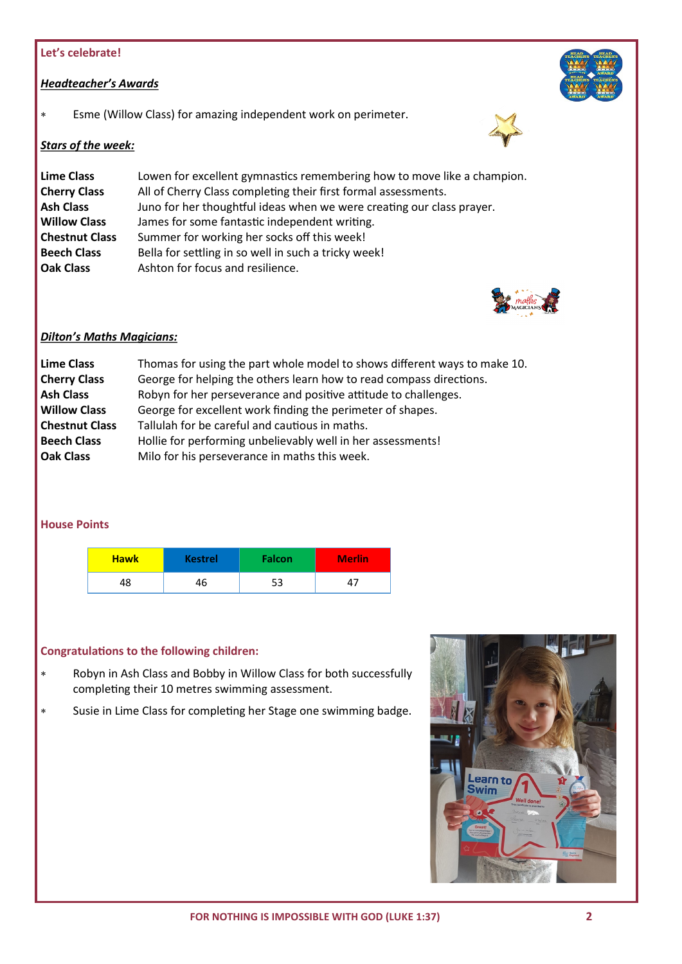#### **Let's celebrate!**

#### *Headteacher's Awards*

Esme (Willow Class) for amazing independent work on perimeter.

#### *Stars of the week:*

| <b>Lime Class</b>     | Lowen for excellent gymnastics remembering how to move like a champion. |
|-----------------------|-------------------------------------------------------------------------|
| <b>Cherry Class</b>   | All of Cherry Class completing their first formal assessments.          |
| <b>Ash Class</b>      | Juno for her thoughtful ideas when we were creating our class prayer.   |
| <b>Willow Class</b>   | James for some fantastic independent writing.                           |
| <b>Chestnut Class</b> | Summer for working her socks off this week!                             |
| <b>Beech Class</b>    | Bella for settling in so well in such a tricky week!                    |
| <b>Oak Class</b>      | Ashton for focus and resilience.                                        |



#### *Dilton's Maths Magicians:*

| <b>Lime Class</b>     | Thomas for using the part whole model to shows different ways to make 10. |
|-----------------------|---------------------------------------------------------------------------|
| <b>Cherry Class</b>   | George for helping the others learn how to read compass directions.       |
| <b>Ash Class</b>      | Robyn for her perseverance and positive attitude to challenges.           |
| <b>Willow Class</b>   | George for excellent work finding the perimeter of shapes.                |
| <b>Chestnut Class</b> | Tallulah for be careful and cautious in maths.                            |
| <b>Beech Class</b>    | Hollie for performing unbelievably well in her assessments!               |
| <b>Oak Class</b>      | Milo for his perseverance in maths this week.                             |
|                       |                                                                           |

#### **House Points**

| <b>Hawk</b> | <b>Kestrel</b> | <b>Falcon</b> | <b>Merlin</b> |
|-------------|----------------|---------------|---------------|
| 48          | 46             | 53            |               |

#### **Congratulations to the following children:**

- Robyn in Ash Class and Bobby in Willow Class for both successfully completing their 10 metres swimming assessment.
- Susie in Lime Class for completing her Stage one swimming badge.